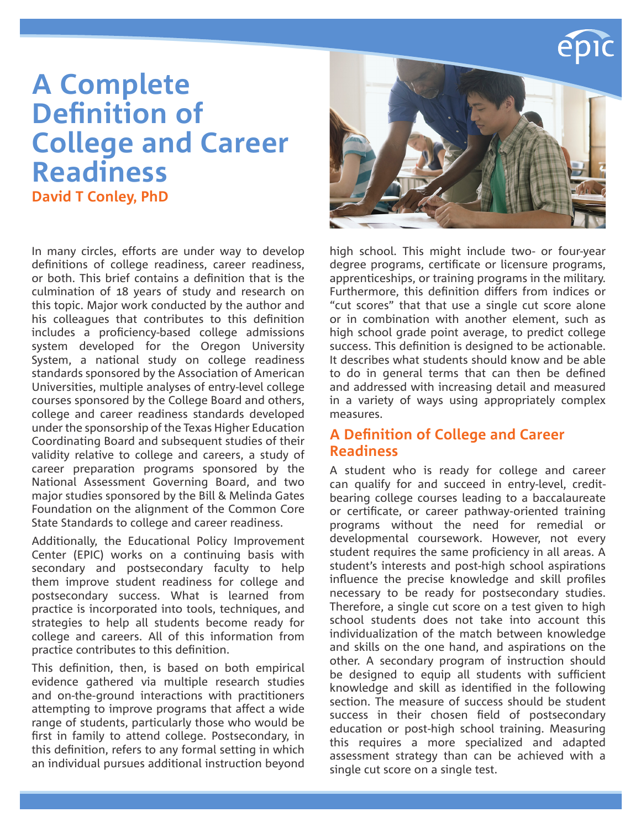# **A Complete Definition of College and Career Readiness David T Conley, PhD**

In many circles, efforts are under way to develop definitions of college readiness, career readiness, or both. This brief contains a definition that is the culmination of 18 years of study and research on this topic. Major work conducted by the author and his colleagues that contributes to this definition includes a proficiency-based college admissions system developed for the Oregon University System, a national study on college readiness standards sponsored by the Association of American Universities, multiple analyses of entry-level college courses sponsored by the College Board and others, college and career readiness standards developed under the sponsorship of the Texas Higher Education Coordinating Board and subsequent studies of their validity relative to college and careers, a study of career preparation programs sponsored by the National Assessment Governing Board, and two major studies sponsored by the Bill & Melinda Gates Foundation on the alignment of the Common Core State Standards to college and career readiness.

Additionally, the Educational Policy Improvement Center (EPIC) works on a continuing basis with secondary and postsecondary faculty to help them improve student readiness for college and postsecondary success. What is learned from practice is incorporated into tools, techniques, and strategies to help all students become ready for college and careers. All of this information from practice contributes to this definition.

This definition, then, is based on both empirical evidence gathered via multiple research studies and on-the-ground interactions with practitioners attempting to improve programs that affect a wide range of students, particularly those who would be first in family to attend college. Postsecondary, in this definition, refers to any formal setting in which an individual pursues additional instruction beyond



high school. This might include two- or four-year degree programs, certificate or licensure programs, apprenticeships, or training programs in the military. Furthermore, this definition differs from indices or "cut scores" that that use a single cut score alone or in combination with another element, such as high school grade point average, to predict college success. This definition is designed to be actionable. It describes what students should know and be able to do in general terms that can then be defined and addressed with increasing detail and measured in a variety of ways using appropriately complex measures.

#### **A Definition of College and Career Readiness**

A student who is ready for college and career can qualify for and succeed in entry-level, creditbearing college courses leading to a baccalaureate or certificate, or career pathway-oriented training programs without the need for remedial or developmental coursework. However, not every student requires the same proficiency in all areas. A student's interests and post-high school aspirations influence the precise knowledge and skill profiles necessary to be ready for postsecondary studies. Therefore, a single cut score on a test given to high school students does not take into account this individualization of the match between knowledge and skills on the one hand, and aspirations on the other. A secondary program of instruction should be designed to equip all students with sufficient knowledge and skill as identified in the following section. The measure of success should be student success in their chosen field of postsecondary education or post-high school training. Measuring this requires a more specialized and adapted assessment strategy than can be achieved with a single cut score on a single test.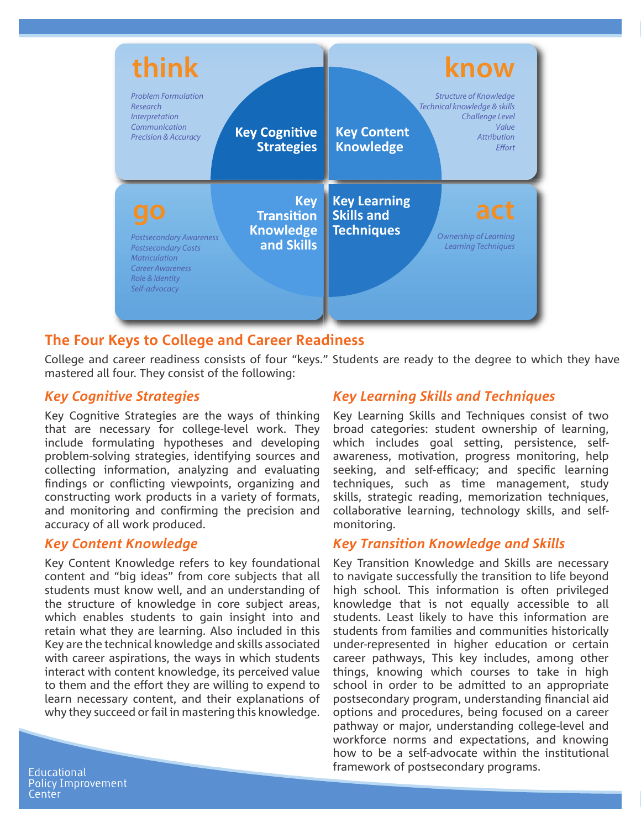

#### **The Four Keys to College and Career Readiness**

College and career readiness consists of four "keys." Students are ready to the degree to which they have mastered all four. They consist of the following:

#### *Key Cognitive Strategies*

Key Cognitive Strategies are the ways of thinking that are necessary for college-level work. They include formulating hypotheses and developing problem-solving strategies, identifying sources and collecting information, analyzing and evaluating findings or conflicting viewpoints, organizing and constructing work products in a variety of formats, and monitoring and confirming the precision and accuracy of all work produced.

#### *Key Content Knowledge*

Key Content Knowledge refers to key foundational content and "big ideas" from core subjects that all students must know well, and an understanding of the structure of knowledge in core subject areas, which enables students to gain insight into and retain what they are learning. Also included in this Key are the technical knowledge and skills associated with career aspirations, the ways in which students interact with content knowledge, its perceived value to them and the effort they are willing to expend to learn necessary content, and their explanations of why they succeed or fail in mastering this knowledge.

## *Key Learning Skills and Techniques*

Key Learning Skills and Techniques consist of two broad categories: student ownership of learning, which includes goal setting, persistence, selfawareness, motivation, progress monitoring, help seeking, and self-efficacy; and specific learning techniques, such as time management, study skills, strategic reading, memorization techniques, collaborative learning, technology skills, and selfmonitoring.

#### *Key Transition Knowledge and Skills*

Key Transition Knowledge and Skills are necessary to navigate successfully the transition to life beyond high school. This information is often privileged knowledge that is not equally accessible to all students. Least likely to have this information are students from families and communities historically under-represented in higher education or certain career pathways, This key includes, among other things, knowing which courses to take in high school in order to be admitted to an appropriate postsecondary program, understanding financial aid options and procedures, being focused on a career pathway or major, understanding college-level and workforce norms and expectations, and knowing how to be a self-advocate within the institutional framework of postsecondary programs.

**Educational Policy Improvement** Center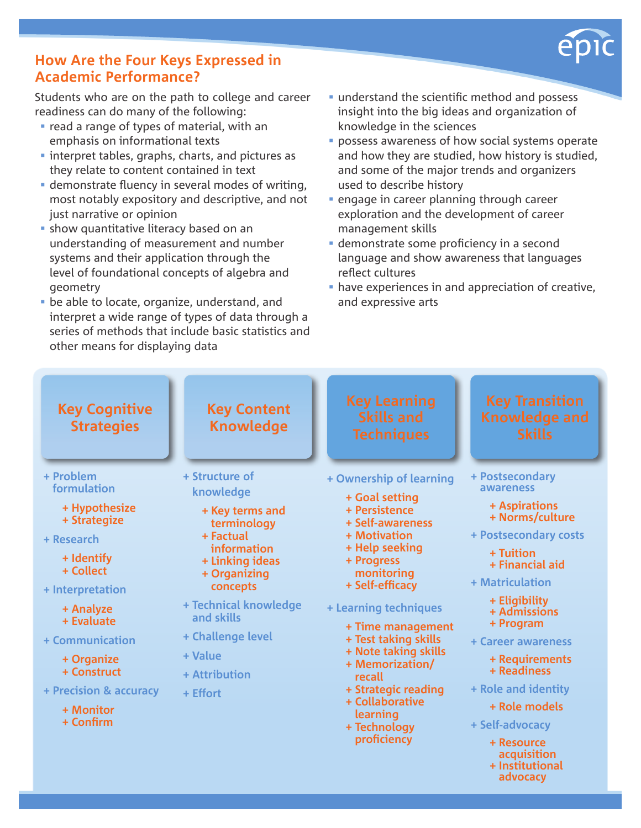

## **How Are the Four Keys Expressed in Academic Performance?**

Students who are on the path to college and career readiness can do many of the following:

- **r** read a range of types of material, with an emphasis on informational texts
- **Interpret tables, graphs, charts, and pictures as** they relate to content contained in text
- demonstrate fluency in several modes of writing, most notably expository and descriptive, and not just narrative or opinion
- **show quantitative literacy based on an** understanding of measurement and number systems and their application through the level of foundational concepts of algebra and geometry
- be able to locate, organize, understand, and interpret a wide range of types of data through a series of methods that include basic statistics and other means for displaying data
- understand the scientific method and possess insight into the big ideas and organization of knowledge in the sciences
- **possess awareness of how social systems operate** and how they are studied, how history is studied, and some of the major trends and organizers used to describe history
- **Example 1** engage in career planning through career exploration and the development of career management skills
- demonstrate some proficiency in a second language and show awareness that languages reflect cultures
- have experiences in and appreciation of creative, and expressive arts

| <b>Key Cognitive</b><br><b>Strategies</b>                                                                                                                                                                                                             | <b>Key Content</b><br><b>Knowledge</b>                                                                                                                                                                                                       | <b>Key Learning</b><br><b>Skills and</b><br><b>Techniques</b>                                                                                                                                                                                                                                                                                                                   | <b>Key Transition</b><br><b>Knowledge and</b><br><b>Skills</b>                                                                                                                                                                                                                                                                                                           |
|-------------------------------------------------------------------------------------------------------------------------------------------------------------------------------------------------------------------------------------------------------|----------------------------------------------------------------------------------------------------------------------------------------------------------------------------------------------------------------------------------------------|---------------------------------------------------------------------------------------------------------------------------------------------------------------------------------------------------------------------------------------------------------------------------------------------------------------------------------------------------------------------------------|--------------------------------------------------------------------------------------------------------------------------------------------------------------------------------------------------------------------------------------------------------------------------------------------------------------------------------------------------------------------------|
| + Problem<br>formulation<br>+ Hypothesize<br>+ Strategize<br>+ Research<br>+ Identify<br>+ Collect<br>+ Interpretation<br>+ Analyze<br>+ Evaluate<br>+ Communication<br>+ Organize<br>+ Construct<br>+ Precision & accuracy<br>+ Monitor<br>+ Confirm | + Structure of<br>knowledge<br>+ Key terms and<br>terminology<br>+ Factual<br>information<br>+ Linking ideas<br>+ Organizing<br>concepts<br>+ Technical knowledge<br>and skills<br>+ Challenge level<br>+ Value<br>+ Attribution<br>+ Effort | + Ownership of learning<br>+ Goal setting<br>+ Persistence<br>+ Self-awareness<br>+ Motivation<br>+ Help seeking<br>+ Progress<br>monitoring<br>+ Self-efficacy<br>+ Learning techniques<br>+ Time management<br>+ Test taking skills<br>+ Note taking skills<br>+ Memorization/<br>recall<br>+ Strategic reading<br>+ Collaborative<br>learning<br>+ Technology<br>proficiency | + Postsecondary<br>awareness<br>+ Aspirations<br>+ Norms/culture<br>+ Postsecondary costs<br>+ Tuition<br>+ Financial aid<br>+ Matriculation<br>+ Eligibility<br>+ Admissions<br>+ Program<br>+ Career awareness<br>+ Requirements<br>+ Readiness<br>+ Role and identity<br>+ Role models<br>+ Self-advocacy<br>+ Resource<br>acquisition<br>+ Institutional<br>advocacy |